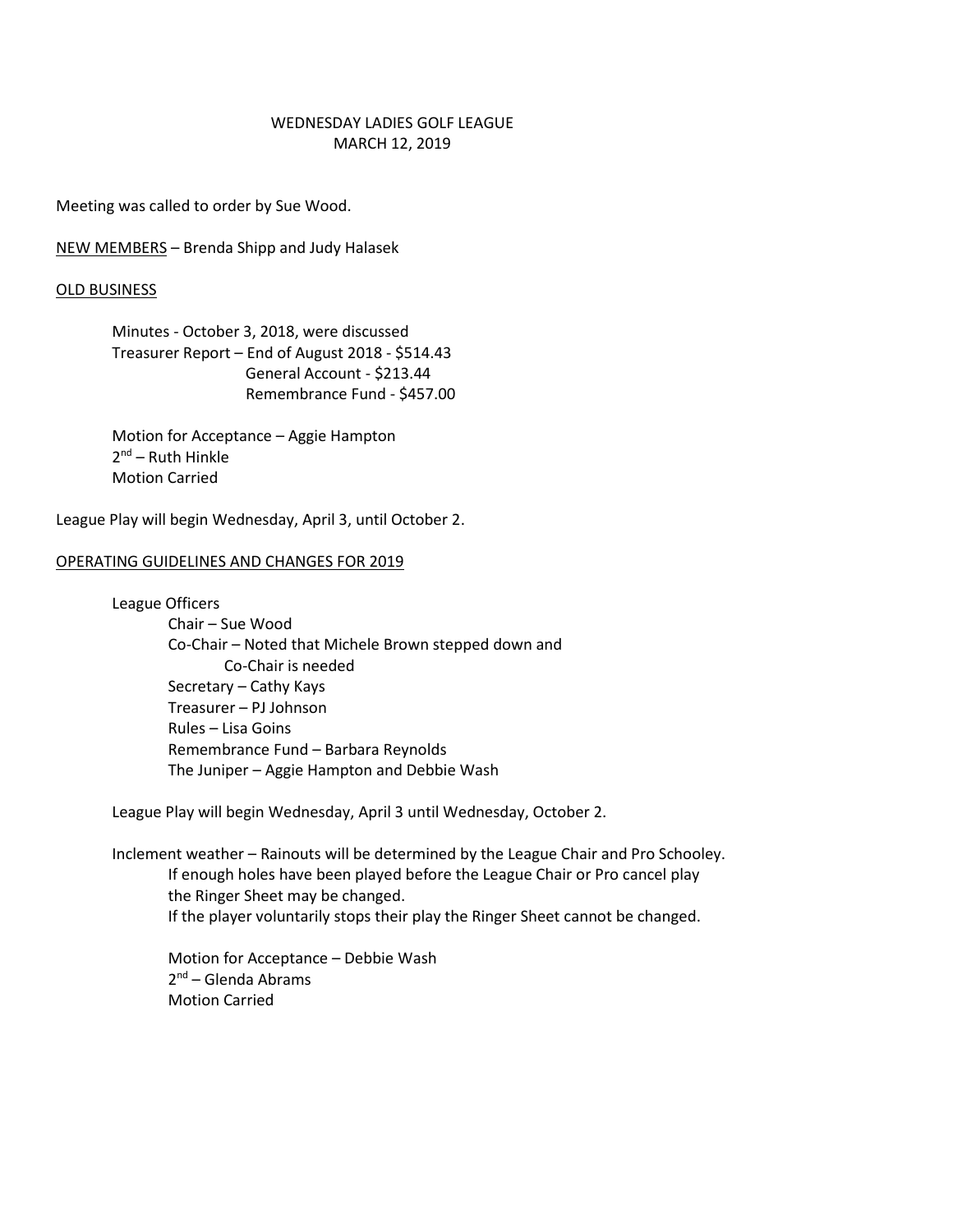# WEDNESDAY LADIES GOLF LEAGUE MARCH 12, 2019

Meeting was called to order by Sue Wood.

NEW MEMBERS – Brenda Shipp and Judy Halasek

#### OLD BUSINESS

Minutes - October 3, 2018, were discussed Treasurer Report – End of August 2018 - \$514.43 General Account - \$213.44 Remembrance Fund - \$457.00

Motion for Acceptance – Aggie Hampton 2<sup>nd</sup> – Ruth Hinkle Motion Carried

League Play will begin Wednesday, April 3, until October 2.

## OPERATING GUIDELINES AND CHANGES FOR 2019

League Officers

Chair – Sue Wood Co-Chair – Noted that Michele Brown stepped down and Co-Chair is needed Secretary – Cathy Kays Treasurer – PJ Johnson Rules – Lisa Goins Remembrance Fund – Barbara Reynolds The Juniper – Aggie Hampton and Debbie Wash

League Play will begin Wednesday, April 3 until Wednesday, October 2.

Inclement weather – Rainouts will be determined by the League Chair and Pro Schooley. If enough holes have been played before the League Chair or Pro cancel play the Ringer Sheet may be changed. If the player voluntarily stops their play the Ringer Sheet cannot be changed.

Motion for Acceptance – Debbie Wash 2<sup>nd</sup> – Glenda Abrams Motion Carried